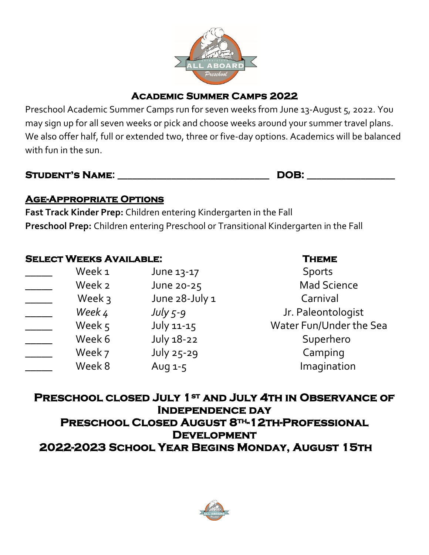

# **Academic Summer Camps 2022**

Preschool Academic Summer Camps run for seven weeks from June 13-August 5, 2022. You may sign up for all seven weeks or pick and choose weeks around your summer travel plans. We also offer half, full or extended two, three or five-day options. Academics will be balanced with fun in the sun.

| <b>STUDENT'S NAME:</b> |  |
|------------------------|--|
|------------------------|--|

**Student's Name: \_\_\_\_\_\_\_\_\_\_\_\_\_\_\_\_\_\_\_\_\_\_\_\_\_\_\_\_\_\_\_ DOB: \_\_\_\_\_\_\_\_\_\_\_\_\_\_\_\_\_\_**

## **Age-Appropriate Options**

**Fast Track Kinder Prep:** Children entering Kindergarten in the Fall **Preschool Prep:** Children entering Preschool or Transitional Kindergarten in the Fall

## **Select Weeks Available: Theme**

| Week 1 | June 13-17        | <b>Sports</b>   |
|--------|-------------------|-----------------|
| Week 2 | June 20-25        | <b>Mad Scie</b> |
| Week 3 | June 28-July 1    | Carnival        |
| Week 4 | July $5-9$        | Jr. Paleonto    |
| Week 5 | $July 11-15$      | Water Fun/Unc   |
| Week 6 | <b>July 18-22</b> | Superhe         |
| Week 7 | July 25-29        | Campin          |
| Week 8 | Aug 1-5           | Imaginat        |
|        |                   |                 |

Mad Science *\_\_\_\_\_ Week 4 July 5-9* Jr. Paleontologist Water Fun/Under the Sea Superhero Camping Imagination

**Preschool closed July 1st and July 4th in Observance of Independence day Preschool Closed August 8th-12th-Professional Development 2022-2023 School Year Begins Monday, August 15th**